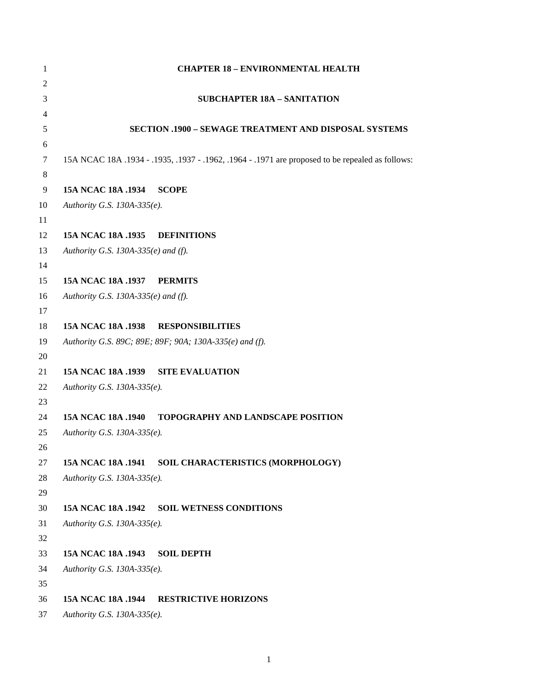| 1              |                                     | <b>CHAPTER 18 - ENVIRONMENTAL HEALTH</b>                                                         |
|----------------|-------------------------------------|--------------------------------------------------------------------------------------------------|
| $\overline{c}$ |                                     |                                                                                                  |
| 3              |                                     | <b>SUBCHAPTER 18A - SANITATION</b>                                                               |
| 4              |                                     |                                                                                                  |
| 5              |                                     | SECTION .1900 - SEWAGE TREATMENT AND DISPOSAL SYSTEMS                                            |
| 6              |                                     |                                                                                                  |
| 7              |                                     | 15A NCAC 18A .1934 - .1935, .1937 - .1962, .1964 - .1971 are proposed to be repealed as follows: |
| $\,8$          |                                     |                                                                                                  |
| 9              | 15A NCAC 18A .1934                  | <b>SCOPE</b>                                                                                     |
| 10             | Authority G.S. 130A-335(e).         |                                                                                                  |
| 11             |                                     |                                                                                                  |
| 12             | 15A NCAC 18A .1935                  | <b>DEFINITIONS</b>                                                                               |
| 13             | Authority G.S. 130A-335(e) and (f). |                                                                                                  |
| 14<br>15       | 15A NCAC 18A .1937                  | <b>PERMITS</b>                                                                                   |
| 16             | Authority G.S. 130A-335(e) and (f). |                                                                                                  |
| 17             |                                     |                                                                                                  |
| 18             | <b>15A NCAC 18A .1938</b>           | <b>RESPONSIBILITIES</b>                                                                          |
| 19             |                                     | Authority G.S. 89C; 89E; 89F; 90A; 130A-335(e) and (f).                                          |
| 20             |                                     |                                                                                                  |
| 21             | 15A NCAC 18A .1939                  | <b>SITE EVALUATION</b>                                                                           |
| 22             | Authority G.S. 130A-335(e).         |                                                                                                  |
| 23             |                                     |                                                                                                  |
| 24             | 15A NCAC 18A .1940                  | <b>TOPOGRAPHY AND LANDSCAPE POSITION</b>                                                         |
| 25             | Authority G.S. 130A-335(e).         |                                                                                                  |
| 26             |                                     |                                                                                                  |
| 27             | 15A NCAC 18A .1941                  | SOIL CHARACTERISTICS (MORPHOLOGY)                                                                |
| 28             | Authority G.S. 130A-335(e).         |                                                                                                  |
| 29             |                                     |                                                                                                  |
| 30             | 15A NCAC 18A .1942                  | <b>SOIL WETNESS CONDITIONS</b>                                                                   |
| 31             | Authority G.S. 130A-335(e).         |                                                                                                  |
| 32             |                                     |                                                                                                  |
| 33             | 15A NCAC 18A .1943                  | <b>SOIL DEPTH</b>                                                                                |
| 34             | Authority G.S. 130A-335(e).         |                                                                                                  |
| 35             |                                     |                                                                                                  |
| 36             | 15A NCAC 18A .1944                  | <b>RESTRICTIVE HORIZONS</b>                                                                      |
| 37             | Authority G.S. 130A-335(e).         |                                                                                                  |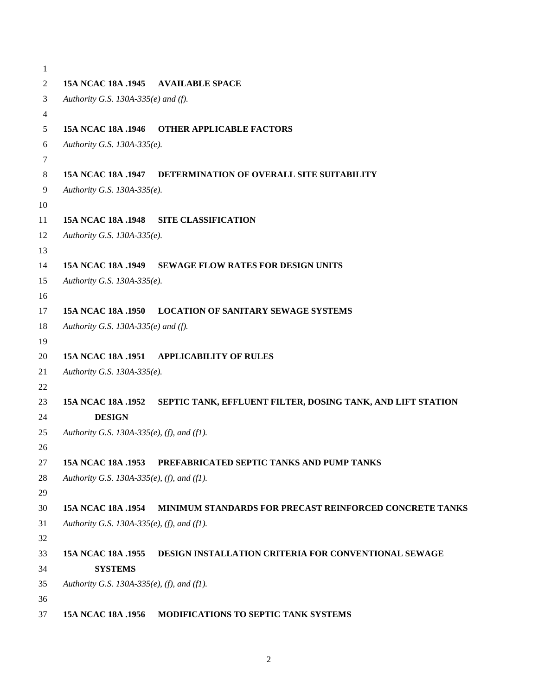```
1
2 15A NCAC 18A .1945 AVAILABLE SPACE
3 Authority G.S. 130A-335(e) and (f).
4
5 15A NCAC 18A .1946 OTHER APPLICABLE FACTORS
6 Authority G.S. 130A-335(e).
7
8 15A NCAC 18A .1947 DETERMINATION OF OVERALL SITE SUITABILITY
9 Authority G.S. 130A-335(e).
10
11 15A NCAC 18A .1948 SITE CLASSIFICATION
12 Authority G.S. 130A-335(e).
13
14 15A NCAC 18A .1949 SEWAGE FLOW RATES FOR DESIGN UNITS
15 Authority G.S. 130A-335(e).
16
17 15A NCAC 18A .1950 LOCATION OF SANITARY SEWAGE SYSTEMS
18 Authority G.S. 130A-335(e) and (f).
19
20 15A NCAC 18A .1951 APPLICABILITY OF RULES
21 Authority G.S. 130A-335(e).
22
23 15A NCAC 18A .1952 SEPTIC TANK, EFFLUENT FILTER, DOSING TANK, AND LIFT STATION 
24 DESIGN
25 Authority G.S. 130A-335(e), (f), and (f1).
26
27 15A NCAC 18A .1953 PREFABRICATED SEPTIC TANKS AND PUMP TANKS
28 Authority G.S. 130A-335(e), (f), and (f1).
29
30 15A NCAC 18A .1954 MINIMUM STANDARDS FOR PRECAST REINFORCED CONCRETE TANKS
31 Authority G.S. 130A-335(e), (f), and (f1).
32
33 15A NCAC 18A .1955 DESIGN INSTALLATION CRITERIA FOR CONVENTIONAL SEWAGE 
34 SYSTEMS
35 Authority G.S. 130A-335(e), (f), and (f1).
36
37 15A NCAC 18A .1956 MODIFICATIONS TO SEPTIC TANK SYSTEMS
```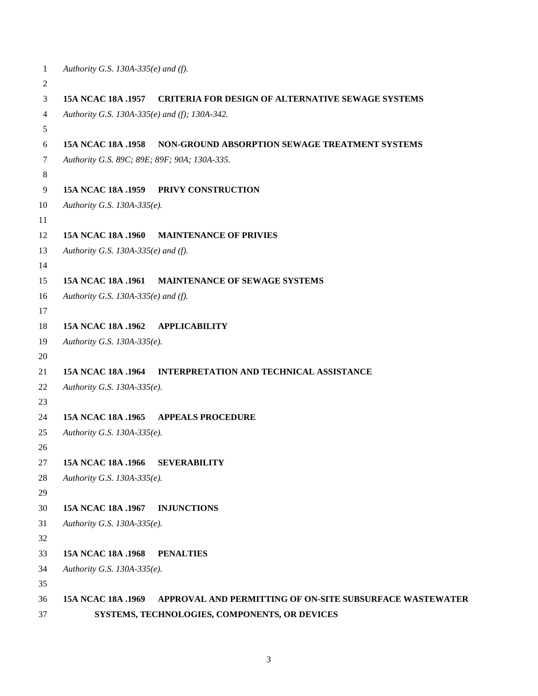```
1 Authority G.S. 130A-335(e) and (f).
2
3 15A NCAC 18A .1957 CRITERIA FOR DESIGN OF ALTERNATIVE SEWAGE SYSTEMS
4 Authority G.S. 130A-335(e) and (f); 130A-342.
5
6 15A NCAC 18A .1958 NON-GROUND ABSORPTION SEWAGE TREATMENT SYSTEMS
7 Authority G.S. 89C; 89E; 89F; 90A; 130A-335.
8
9 15A NCAC 18A .1959 PRIVY CONSTRUCTION
10 Authority G.S. 130A-335(e).
11
12 15A NCAC 18A .1960 MAINTENANCE OF PRIVIES
13 Authority G.S. 130A-335(e) and (f).
14
15 15A NCAC 18A .1961 MAINTENANCE OF SEWAGE SYSTEMS
16 Authority G.S. 130A-335(e) and (f).
17
18 15A NCAC 18A .1962 APPLICABILITY
19 Authority G.S. 130A-335(e).
20
21 15A NCAC 18A .1964 INTERPRETATION AND TECHNICAL ASSISTANCE
22 Authority G.S. 130A-335(e).
23
24 15A NCAC 18A .1965 APPEALS PROCEDURE
25 Authority G.S. 130A-335(e).
26
27 15A NCAC 18A .1966 SEVERABILITY
28 Authority G.S. 130A-335(e).
29
30 15A NCAC 18A .1967 INJUNCTIONS
31 Authority G.S. 130A-335(e).
32
33 15A NCAC 18A .1968 PENALTIES
34 Authority G.S. 130A-335(e).
35
36 15A NCAC 18A .1969 APPROVAL AND PERMITTING OF ON-SITE SUBSURFACE WASTEWATER 
37 SYSTEMS, TECHNOLOGIES, COMPONENTS, OR DEVICES
```